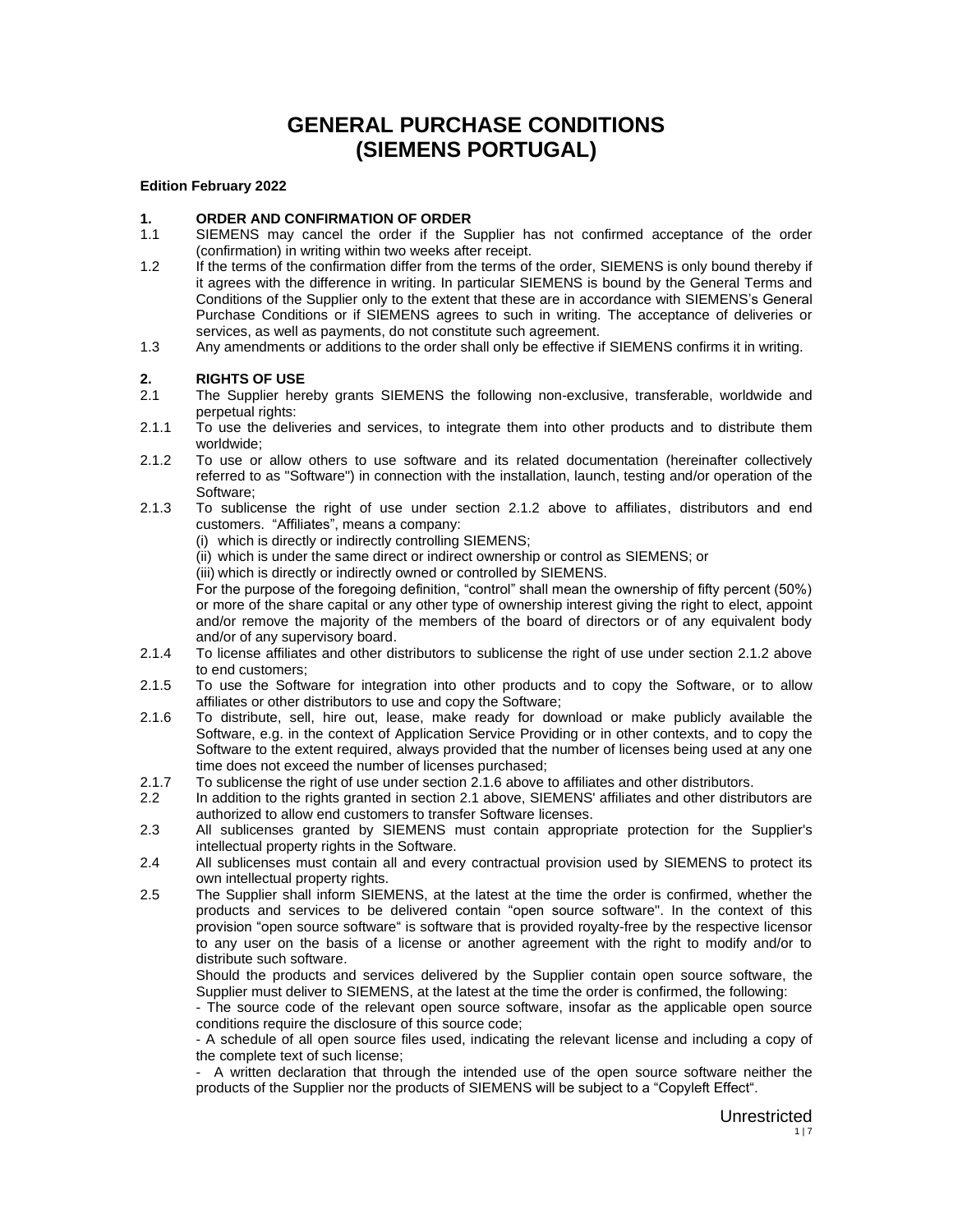# **GENERAL PURCHASE CONDITIONS (SIEMENS PORTUGAL)**

#### **Edition February 2022**

# **1. ORDER AND CONFIRMATION OF ORDER**

- 1.1 SIEMENS may cancel the order if the Supplier has not confirmed acceptance of the order (confirmation) in writing within two weeks after receipt.
- 1.2 If the terms of the confirmation differ from the terms of the order, SIEMENS is only bound thereby if it agrees with the difference in writing. In particular SIEMENS is bound by the General Terms and Conditions of the Supplier only to the extent that these are in accordance with SIEMENS's General Purchase Conditions or if SIEMENS agrees to such in writing. The acceptance of deliveries or services, as well as payments, do not constitute such agreement.
- 1.3 Any amendments or additions to the order shall only be effective if SIEMENS confirms it in writing.

# **2.** RIGHTS OF USE<br>2.1 The Supplier here

- The Supplier hereby grants SIEMENS the following non-exclusive, transferable, worldwide and perpetual rights:
- 2.1.1 To use the deliveries and services, to integrate them into other products and to distribute them worldwide;
- 2.1.2 To use or allow others to use software and its related documentation (hereinafter collectively referred to as "Software") in connection with the installation, launch, testing and/or operation of the Software;
- 2.1.3 To sublicense the right of use under section 2.1.2 above to affiliates, distributors and end customers. "Affiliates", means a company:
	- (i) which is directly or indirectly controlling SIEMENS;
	- (ii) which is under the same direct or indirect ownership or control as SIEMENS; or
	- (iii) which is directly or indirectly owned or controlled by SIEMENS.

For the purpose of the foregoing definition, "control" shall mean the ownership of fifty percent (50%) or more of the share capital or any other type of ownership interest giving the right to elect, appoint and/or remove the majority of the members of the board of directors or of any equivalent body and/or of any supervisory board.

- 2.1.4 To license affiliates and other distributors to sublicense the right of use under section 2.1.2 above to end customers;
- 2.1.5 To use the Software for integration into other products and to copy the Software, or to allow affiliates or other distributors to use and copy the Software;
- 2.1.6 To distribute, sell, hire out, lease, make ready for download or make publicly available the Software, e.g. in the context of Application Service Providing or in other contexts, and to copy the Software to the extent required, always provided that the number of licenses being used at any one time does not exceed the number of licenses purchased;
- 2.1.7 To sublicense the right of use under section 2.1.6 above to affiliates and other distributors.
- 2.2 In addition to the rights granted in section 2.1 above, SIEMENS' affiliates and other distributors are authorized to allow end customers to transfer Software licenses.
- 2.3 All sublicenses granted by SIEMENS must contain appropriate protection for the Supplier's intellectual property rights in the Software.
- 2.4 All sublicenses must contain all and every contractual provision used by SIEMENS to protect its own intellectual property rights.
- 2.5 The Supplier shall inform SIEMENS, at the latest at the time the order is confirmed, whether the products and services to be delivered contain "open source software". In the context of this provision "open source software" is software that is provided royalty-free by the respective licensor to any user on the basis of a license or another agreement with the right to modify and/or to distribute such software.

Should the products and services delivered by the Supplier contain open source software, the Supplier must deliver to SIEMENS, at the latest at the time the order is confirmed, the following:

- The source code of the relevant open source software, insofar as the applicable open source conditions require the disclosure of this source code;

- A schedule of all open source files used, indicating the relevant license and including a copy of the complete text of such license;

- A written declaration that through the intended use of the open source software neither the products of the Supplier nor the products of SIEMENS will be subject to a "Copyleft Effect".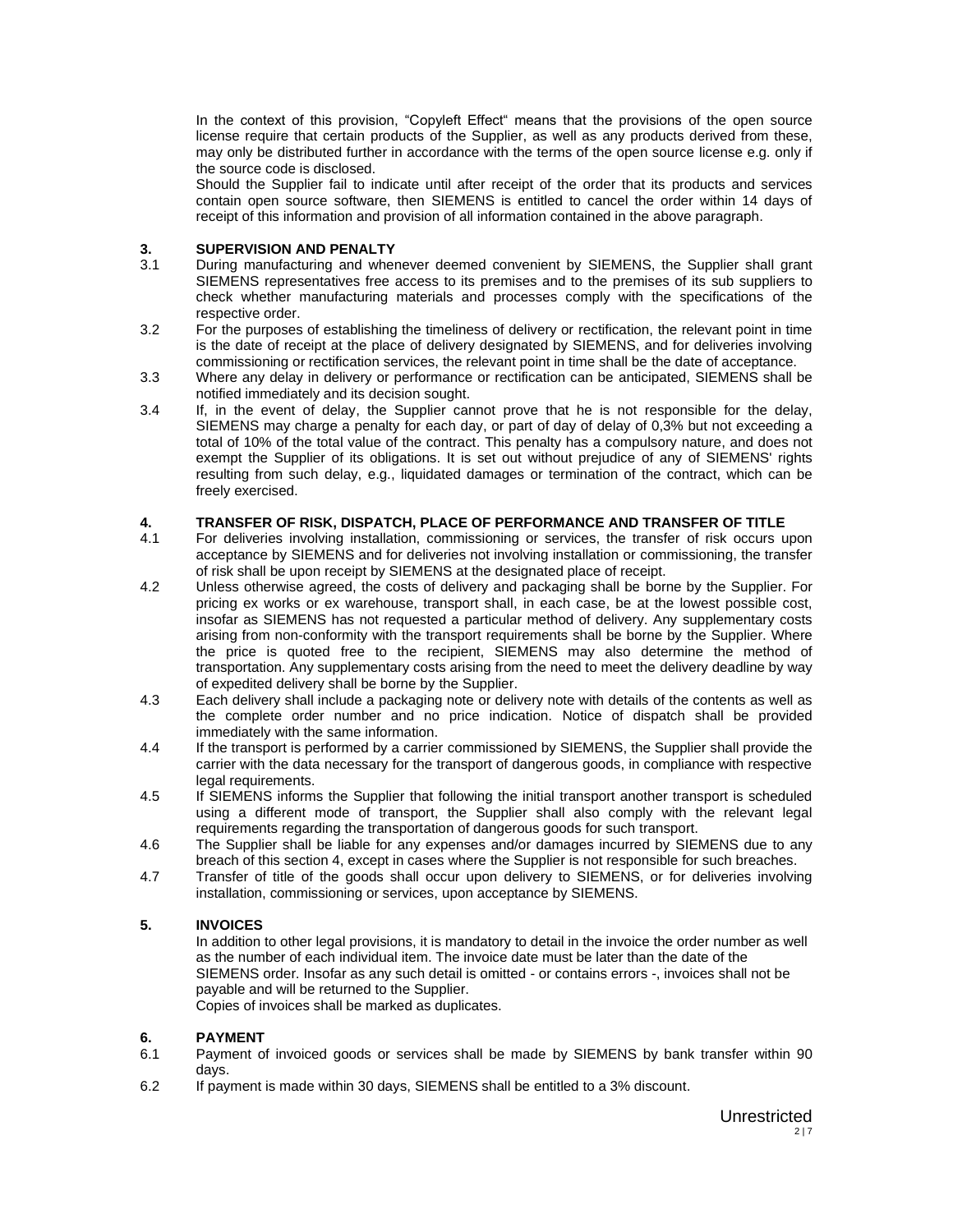In the context of this provision, "Copyleft Effect" means that the provisions of the open source license require that certain products of the Supplier, as well as any products derived from these, may only be distributed further in accordance with the terms of the open source license e.g. only if the source code is disclosed.

Should the Supplier fail to indicate until after receipt of the order that its products and services contain open source software, then SIEMENS is entitled to cancel the order within 14 days of receipt of this information and provision of all information contained in the above paragraph.

# **3. SUPERVISION AND PENALTY**<br>3.1 During manufacturing and when

- During manufacturing and whenever deemed convenient by SIEMENS, the Supplier shall grant SIEMENS representatives free access to its premises and to the premises of its sub suppliers to check whether manufacturing materials and processes comply with the specifications of the respective order.
- 3.2 For the purposes of establishing the timeliness of delivery or rectification, the relevant point in time is the date of receipt at the place of delivery designated by SIEMENS, and for deliveries involving commissioning or rectification services, the relevant point in time shall be the date of acceptance.
- 3.3 Where any delay in delivery or performance or rectification can be anticipated, SIEMENS shall be notified immediately and its decision sought.
- 3.4 If, in the event of delay, the Supplier cannot prove that he is not responsible for the delay, SIEMENS may charge a penalty for each day, or part of day of delay of 0,3% but not exceeding a total of 10% of the total value of the contract. This penalty has a compulsory nature, and does not exempt the Supplier of its obligations. It is set out without prejudice of any of SIEMENS' rights resulting from such delay, e.g., liquidated damages or termination of the contract, which can be freely exercised.

# **4. TRANSFER OF RISK, DISPATCH, PLACE OF PERFORMANCE AND TRANSFER OF TITLE**

- For deliveries involving installation, commissioning or services, the transfer of risk occurs upon acceptance by SIEMENS and for deliveries not involving installation or commissioning, the transfer of risk shall be upon receipt by SIEMENS at the designated place of receipt.
- 4.2 Unless otherwise agreed, the costs of delivery and packaging shall be borne by the Supplier. For pricing ex works or ex warehouse, transport shall, in each case, be at the lowest possible cost, insofar as SIEMENS has not requested a particular method of delivery. Any supplementary costs arising from non-conformity with the transport requirements shall be borne by the Supplier. Where the price is quoted free to the recipient, SIEMENS may also determine the method of transportation. Any supplementary costs arising from the need to meet the delivery deadline by way of expedited delivery shall be borne by the Supplier.
- 4.3 Each delivery shall include a packaging note or delivery note with details of the contents as well as the complete order number and no price indication. Notice of dispatch shall be provided immediately with the same information.
- 4.4 If the transport is performed by a carrier commissioned by SIEMENS, the Supplier shall provide the carrier with the data necessary for the transport of dangerous goods, in compliance with respective legal requirements.
- 4.5 If SIEMENS informs the Supplier that following the initial transport another transport is scheduled using a different mode of transport, the Supplier shall also comply with the relevant legal requirements regarding the transportation of dangerous goods for such transport.
- 4.6 The Supplier shall be liable for any expenses and/or damages incurred by SIEMENS due to any breach of this section 4, except in cases where the Supplier is not responsible for such breaches.
- 4.7 Transfer of title of the goods shall occur upon delivery to SIEMENS, or for deliveries involving installation, commissioning or services, upon acceptance by SIEMENS.

#### **5. INVOICES**

In addition to other legal provisions, it is mandatory to detail in the invoice the order number as well as the number of each individual item. The invoice date must be later than the date of the SIEMENS order. Insofar as any such detail is omitted - or contains errors -, invoices shall not be payable and will be returned to the Supplier.

Copies of invoices shall be marked as duplicates.

#### **6. PAYMENT**

- 6.1 Payment of invoiced goods or services shall be made by SIEMENS by bank transfer within 90 days.
- 6.2 If payment is made within 30 days, SIEMENS shall be entitled to a 3% discount.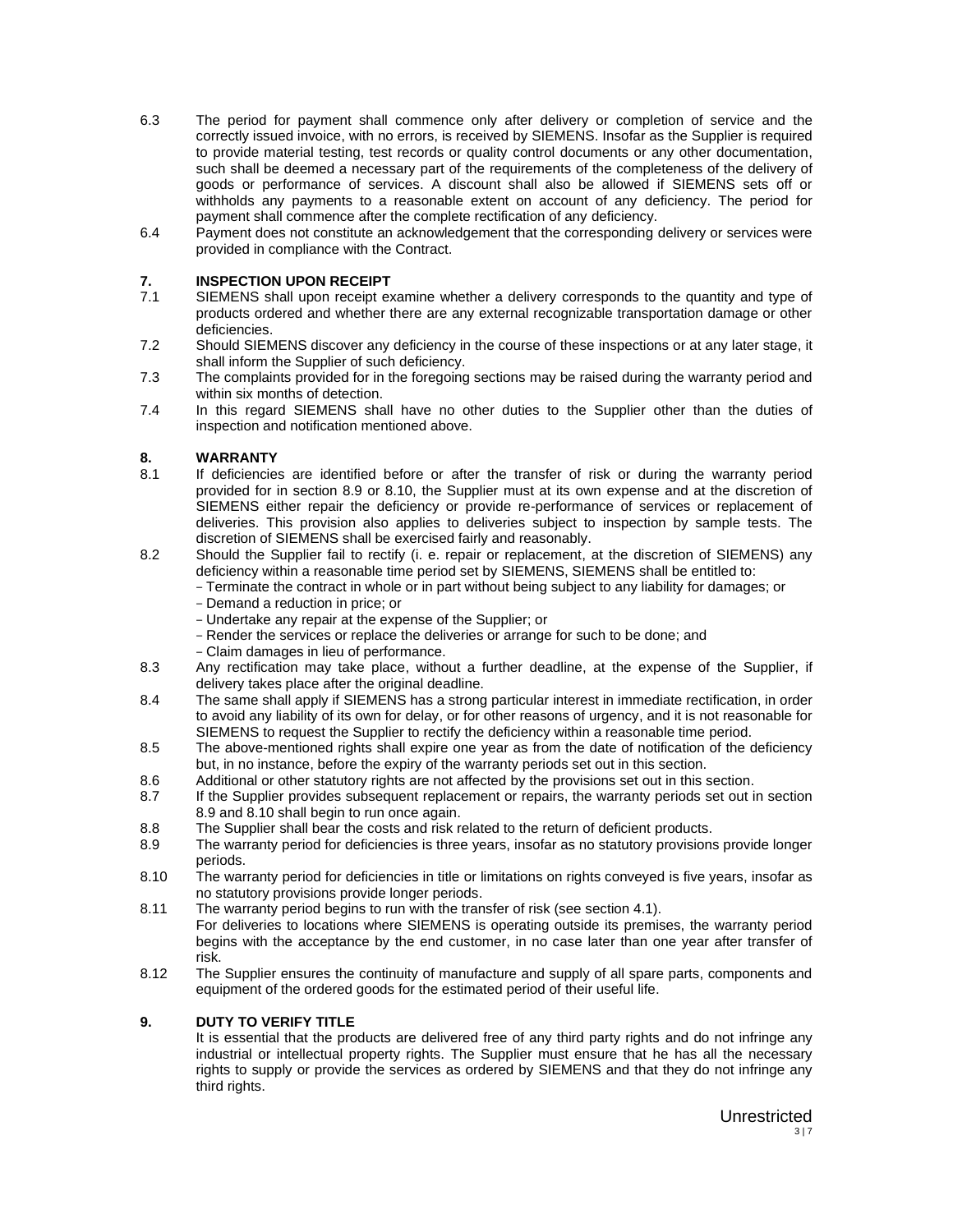- 6.3 The period for payment shall commence only after delivery or completion of service and the correctly issued invoice, with no errors, is received by SIEMENS. Insofar as the Supplier is required to provide material testing, test records or quality control documents or any other documentation, such shall be deemed a necessary part of the requirements of the completeness of the delivery of goods or performance of services. A discount shall also be allowed if SIEMENS sets off or withholds any payments to a reasonable extent on account of any deficiency. The period for payment shall commence after the complete rectification of any deficiency.
- 6.4 Payment does not constitute an acknowledgement that the corresponding delivery or services were provided in compliance with the Contract.

## **7. INSPECTION UPON RECEIPT**

- 7.1 SIEMENS shall upon receipt examine whether a delivery corresponds to the quantity and type of products ordered and whether there are any external recognizable transportation damage or other deficiencies.
- 7.2 Should SIEMENS discover any deficiency in the course of these inspections or at any later stage, it shall inform the Supplier of such deficiency.
- 7.3 The complaints provided for in the foregoing sections may be raised during the warranty period and within six months of detection.
- 7.4 In this regard SIEMENS shall have no other duties to the Supplier other than the duties of inspection and notification mentioned above.

#### **8. WARRANTY**

- 8.1 If deficiencies are identified before or after the transfer of risk or during the warranty period provided for in section 8.9 or 8.10, the Supplier must at its own expense and at the discretion of SIEMENS either repair the deficiency or provide re-performance of services or replacement of deliveries. This provision also applies to deliveries subject to inspection by sample tests. The discretion of SIEMENS shall be exercised fairly and reasonably.
- 8.2 Should the Supplier fail to rectify (i. e. repair or replacement, at the discretion of SIEMENS) any deficiency within a reasonable time period set by SIEMENS, SIEMENS shall be entitled to:
	- Terminate the contract in whole or in part without being subject to any liability for damages; or
	- Demand a reduction in price; or
	- Undertake any repair at the expense of the Supplier; or
	- Render the services or replace the deliveries or arrange for such to be done; and
	- Claim damages in lieu of performance.
- 8.3 Any rectification may take place, without a further deadline, at the expense of the Supplier, if delivery takes place after the original deadline.
- 8.4 The same shall apply if SIEMENS has a strong particular interest in immediate rectification, in order to avoid any liability of its own for delay, or for other reasons of urgency, and it is not reasonable for SIEMENS to request the Supplier to rectify the deficiency within a reasonable time period.
- 8.5 The above-mentioned rights shall expire one year as from the date of notification of the deficiency but, in no instance, before the expiry of the warranty periods set out in this section.
- 8.6 Additional or other statutory rights are not affected by the provisions set out in this section.
- 8.7 If the Supplier provides subsequent replacement or repairs, the warranty periods set out in section 8.9 and 8.10 shall begin to run once again.
- 8.8 The Supplier shall bear the costs and risk related to the return of deficient products.
- 8.9 The warranty period for deficiencies is three years, insofar as no statutory provisions provide longer periods.
- 8.10 The warranty period for deficiencies in title or limitations on rights conveyed is five years, insofar as no statutory provisions provide longer periods.
- 8.11 The warranty period begins to run with the transfer of risk (see section 4.1). For deliveries to locations where SIEMENS is operating outside its premises, the warranty period begins with the acceptance by the end customer, in no case later than one year after transfer of
- risk. 8.12 The Supplier ensures the continuity of manufacture and supply of all spare parts, components and equipment of the ordered goods for the estimated period of their useful life.

#### **9. DUTY TO VERIFY TITLE**

It is essential that the products are delivered free of any third party rights and do not infringe any industrial or intellectual property rights. The Supplier must ensure that he has all the necessary rights to supply or provide the services as ordered by SIEMENS and that they do not infringe any third rights.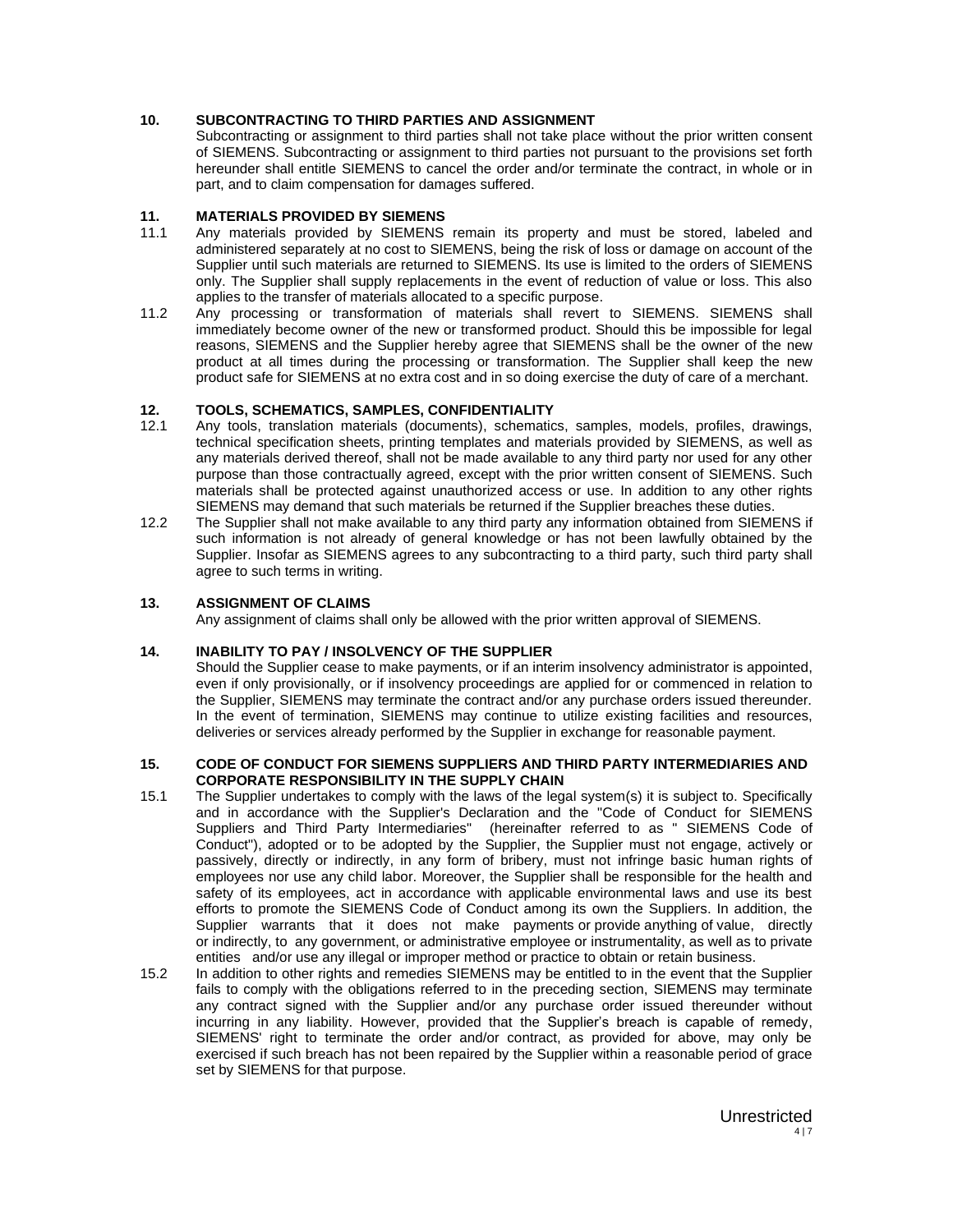#### **10. SUBCONTRACTING TO THIRD PARTIES AND ASSIGNMENT**

Subcontracting or assignment to third parties shall not take place without the prior written consent of SIEMENS. Subcontracting or assignment to third parties not pursuant to the provisions set forth hereunder shall entitle SIEMENS to cancel the order and/or terminate the contract, in whole or in part, and to claim compensation for damages suffered.

#### **11. MATERIALS PROVIDED BY SIEMENS**

- 11.1 Any materials provided by SIEMENS remain its property and must be stored, labeled and administered separately at no cost to SIEMENS, being the risk of loss or damage on account of the Supplier until such materials are returned to SIEMENS. Its use is limited to the orders of SIEMENS only. The Supplier shall supply replacements in the event of reduction of value or loss. This also applies to the transfer of materials allocated to a specific purpose.
- 11.2 Any processing or transformation of materials shall revert to SIEMENS. SIEMENS shall immediately become owner of the new or transformed product. Should this be impossible for legal reasons, SIEMENS and the Supplier hereby agree that SIEMENS shall be the owner of the new product at all times during the processing or transformation. The Supplier shall keep the new product safe for SIEMENS at no extra cost and in so doing exercise the duty of care of a merchant.

## **12. TOOLS, SCHEMATICS, SAMPLES, CONFIDENTIALITY**

- 12.1 Any tools, translation materials (documents), schematics, samples, models, profiles, drawings, technical specification sheets, printing templates and materials provided by SIEMENS, as well as any materials derived thereof, shall not be made available to any third party nor used for any other purpose than those contractually agreed, except with the prior written consent of SIEMENS. Such materials shall be protected against unauthorized access or use. In addition to any other rights SIEMENS may demand that such materials be returned if the Supplier breaches these duties.
- 12.2 The Supplier shall not make available to any third party any information obtained from SIEMENS if such information is not already of general knowledge or has not been lawfully obtained by the Supplier. Insofar as SIEMENS agrees to any subcontracting to a third party, such third party shall agree to such terms in writing.

#### **13. ASSIGNMENT OF CLAIMS**

Any assignment of claims shall only be allowed with the prior written approval of SIEMENS.

#### **14. INABILITY TO PAY / INSOLVENCY OF THE SUPPLIER**

Should the Supplier cease to make payments, or if an interim insolvency administrator is appointed, even if only provisionally, or if insolvency proceedings are applied for or commenced in relation to the Supplier, SIEMENS may terminate the contract and/or any purchase orders issued thereunder. In the event of termination, SIEMENS may continue to utilize existing facilities and resources, deliveries or services already performed by the Supplier in exchange for reasonable payment.

#### **15. CODE OF CONDUCT FOR SIEMENS SUPPLIERS AND THIRD PARTY INTERMEDIARIES AND CORPORATE RESPONSIBILITY IN THE SUPPLY CHAIN**

- 15.1 The Supplier undertakes to comply with the laws of the legal system(s) it is subject to. Specifically and in accordance with the Supplier's Declaration and the "Code of Conduct for SIEMENS Suppliers and Third Party Intermediaries" (hereinafter referred to as " SIEMENS Code of Conduct"), adopted or to be adopted by the Supplier, the Supplier must not engage, actively or passively, directly or indirectly, in any form of bribery, must not infringe basic human rights of employees nor use any child labor. Moreover, the Supplier shall be responsible for the health and safety of its employees, act in accordance with applicable environmental laws and use its best efforts to promote the SIEMENS Code of Conduct among its own the Suppliers. In addition, the Supplier warrants that it does not make payments or provide anything of value, directly or indirectly, to any government, or administrative employee or instrumentality, as well as to private entities and/or use any illegal or improper method or practice to obtain or retain business.
- 15.2 In addition to other rights and remedies SIEMENS may be entitled to in the event that the Supplier fails to comply with the obligations referred to in the preceding section, SIEMENS may terminate any contract signed with the Supplier and/or any purchase order issued thereunder without incurring in any liability. However, provided that the Supplier's breach is capable of remedy, SIEMENS' right to terminate the order and/or contract, as provided for above, may only be exercised if such breach has not been repaired by the Supplier within a reasonable period of grace set by SIEMENS for that purpose.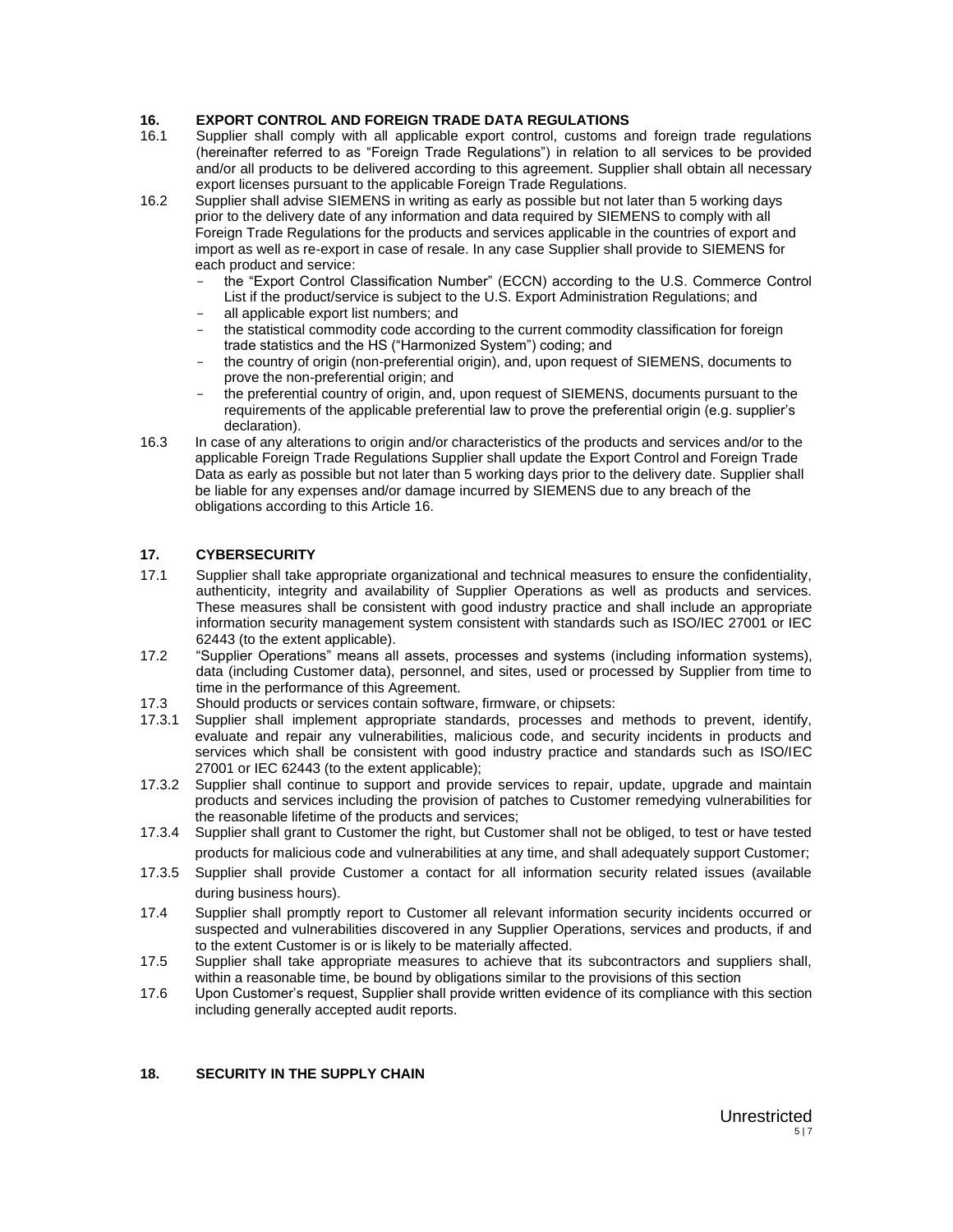# **16. EXPORT CONTROL AND FOREIGN TRADE DATA REGULATIONS**

- 16.1 Supplier shall comply with all applicable export control, customs and foreign trade regulations (hereinafter referred to as "Foreign Trade Regulations") in relation to all services to be provided and/or all products to be delivered according to this agreement. Supplier shall obtain all necessary export licenses pursuant to the applicable Foreign Trade Regulations.
- 16.2 Supplier shall advise SIEMENS in writing as early as possible but not later than 5 working days prior to the delivery date of any information and data required by SIEMENS to comply with all Foreign Trade Regulations for the products and services applicable in the countries of export and import as well as re-export in case of resale. In any case Supplier shall provide to SIEMENS for each product and service:
	- the "Export Control Classification Number" (ECCN) according to the U.S. Commerce Control List if the product/service is subject to the U.S. Export Administration Regulations; and
	- all applicable export list numbers; and
	- the statistical commodity code according to the current commodity classification for foreign trade statistics and the HS ("Harmonized System") coding; and
	- the country of origin (non-preferential origin), and, upon request of SIEMENS, documents to prove the non-preferential origin; and
	- the preferential country of origin, and, upon request of SIEMENS, documents pursuant to the requirements of the applicable preferential law to prove the preferential origin (e.g. supplier's declaration).
- 16.3 In case of any alterations to origin and/or characteristics of the products and services and/or to the applicable Foreign Trade Regulations Supplier shall update the Export Control and Foreign Trade Data as early as possible but not later than 5 working days prior to the delivery date. Supplier shall be liable for any expenses and/or damage incurred by SIEMENS due to any breach of the obligations according to this Article 16.

#### **17. CYBERSECURITY**

- 17.1 Supplier shall take appropriate organizational and technical measures to ensure the confidentiality, authenticity, integrity and availability of Supplier Operations as well as products and services. These measures shall be consistent with good industry practice and shall include an appropriate information security management system consistent with standards such as ISO/IEC 27001 or IEC 62443 (to the extent applicable).
- 17.2 "Supplier Operations" means all assets, processes and systems (including information systems), data (including Customer data), personnel, and sites, used or processed by Supplier from time to time in the performance of this Agreement.
- 17.3 Should products or services contain software, firmware, or chipsets:
- 17.3.1 Supplier shall implement appropriate standards, processes and methods to prevent, identify, evaluate and repair any vulnerabilities, malicious code, and security incidents in products and services which shall be consistent with good industry practice and standards such as ISO/IEC 27001 or IEC 62443 (to the extent applicable);
- 17.3.2 Supplier shall continue to support and provide services to repair, update, upgrade and maintain products and services including the provision of patches to Customer remedying vulnerabilities for the reasonable lifetime of the products and services;
- 17.3.4 Supplier shall grant to Customer the right, but Customer shall not be obliged, to test or have tested products for malicious code and vulnerabilities at any time, and shall adequately support Customer;
- 17.3.5 Supplier shall provide Customer a contact for all information security related issues (available during business hours).
- 17.4 Supplier shall promptly report to Customer all relevant information security incidents occurred or suspected and vulnerabilities discovered in any Supplier Operations, services and products, if and to the extent Customer is or is likely to be materially affected.
- 17.5 Supplier shall take appropriate measures to achieve that its subcontractors and suppliers shall, within a reasonable time, be bound by obligations similar to the provisions of this section
- 17.6 Upon Customer's request, Supplier shall provide written evidence of its compliance with this section including generally accepted audit reports.

## **18. SECURITY IN THE SUPPLY CHAIN**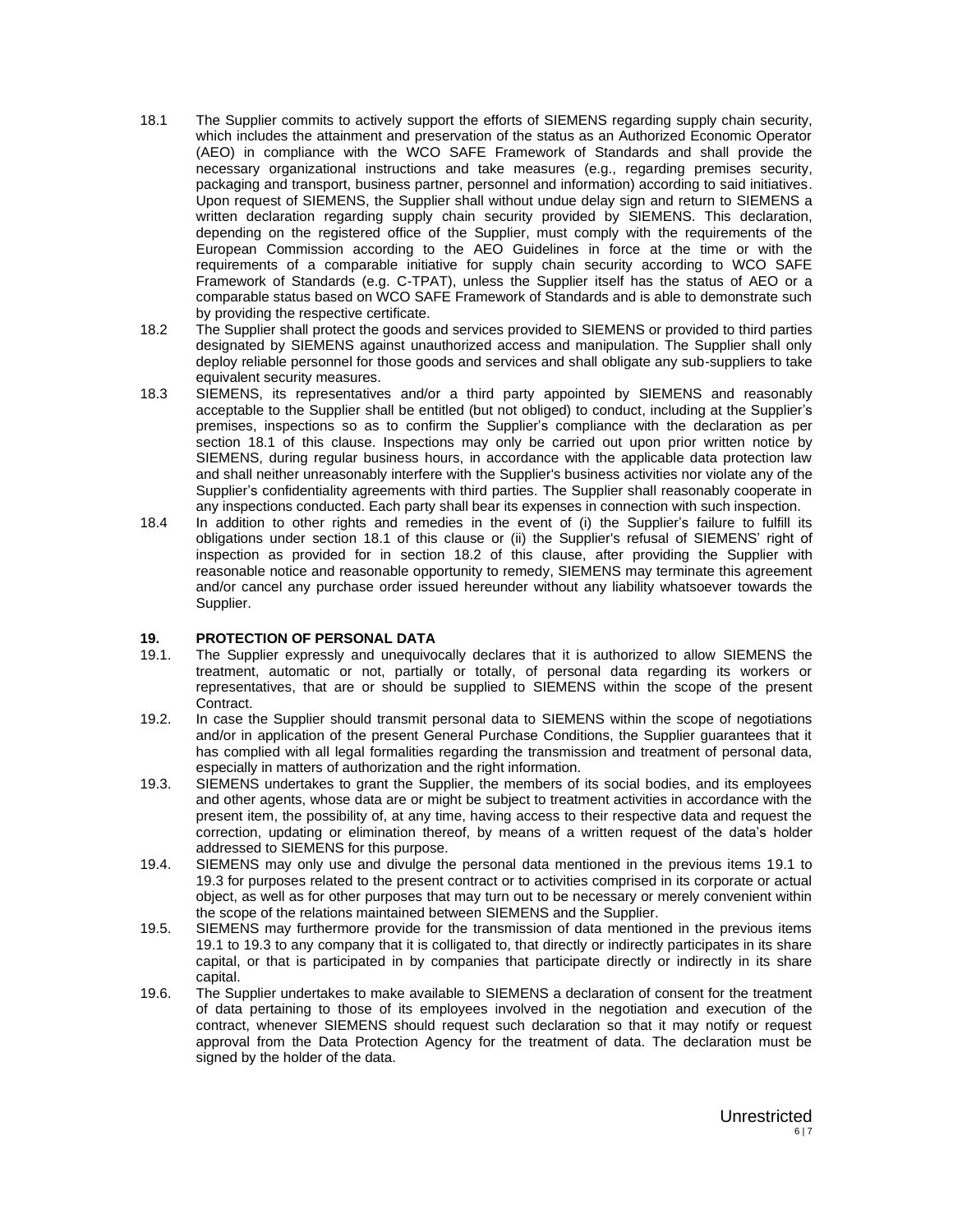- 18.1 The Supplier commits to actively support the efforts of SIEMENS regarding supply chain security, which includes the attainment and preservation of the status as an Authorized Economic Operator (AEO) in compliance with the WCO SAFE Framework of Standards and shall provide the necessary organizational instructions and take measures (e.g., regarding premises security, packaging and transport, business partner, personnel and information) according to said initiatives. Upon request of SIEMENS, the Supplier shall without undue delay sign and return to SIEMENS a written declaration regarding supply chain security provided by SIEMENS. This declaration, depending on the registered office of the Supplier, must comply with the requirements of the European Commission according to the AEO Guidelines in force at the time or with the requirements of a comparable initiative for supply chain security according to WCO SAFE Framework of Standards (e.g. C-TPAT), unless the Supplier itself has the status of AEO or a comparable status based on WCO SAFE Framework of Standards and is able to demonstrate such by providing the respective certificate.
- 18.2 The Supplier shall protect the goods and services provided to SIEMENS or provided to third parties designated by SIEMENS against unauthorized access and manipulation. The Supplier shall only deploy reliable personnel for those goods and services and shall obligate any sub-suppliers to take equivalent security measures.
- 18.3 SIEMENS, its representatives and/or a third party appointed by SIEMENS and reasonably acceptable to the Supplier shall be entitled (but not obliged) to conduct, including at the Supplier's premises, inspections so as to confirm the Supplier's compliance with the declaration as per section 18.1 of this clause. Inspections may only be carried out upon prior written notice by SIEMENS, during regular business hours, in accordance with the applicable data protection law and shall neither unreasonably interfere with the Supplier's business activities nor violate any of the Supplier's confidentiality agreements with third parties. The Supplier shall reasonably cooperate in any inspections conducted. Each party shall bear its expenses in connection with such inspection.
- 18.4 In addition to other rights and remedies in the event of (i) the Supplier's failure to fulfill its obligations under section 18.1 of this clause or (ii) the Supplier's refusal of SIEMENS' right of inspection as provided for in section 18.2 of this clause, after providing the Supplier with reasonable notice and reasonable opportunity to remedy, SIEMENS may terminate this agreement and/or cancel any purchase order issued hereunder without any liability whatsoever towards the Supplier.

#### **19. PROTECTION OF PERSONAL DATA**

- 19.1. The Supplier expressly and unequivocally declares that it is authorized to allow SIEMENS the treatment, automatic or not, partially or totally, of personal data regarding its workers or representatives, that are or should be supplied to SIEMENS within the scope of the present Contract.
- 19.2. In case the Supplier should transmit personal data to SIEMENS within the scope of negotiations and/or in application of the present General Purchase Conditions, the Supplier guarantees that it has complied with all legal formalities regarding the transmission and treatment of personal data, especially in matters of authorization and the right information.
- 19.3. SIEMENS undertakes to grant the Supplier, the members of its social bodies, and its employees and other agents, whose data are or might be subject to treatment activities in accordance with the present item, the possibility of, at any time, having access to their respective data and request the correction, updating or elimination thereof, by means of a written request of the data's holder addressed to SIEMENS for this purpose.
- 19.4. SIEMENS may only use and divulge the personal data mentioned in the previous items 19.1 to 19.3 for purposes related to the present contract or to activities comprised in its corporate or actual object, as well as for other purposes that may turn out to be necessary or merely convenient within the scope of the relations maintained between SIEMENS and the Supplier.
- 19.5. SIEMENS may furthermore provide for the transmission of data mentioned in the previous items 19.1 to 19.3 to any company that it is colligated to, that directly or indirectly participates in its share capital, or that is participated in by companies that participate directly or indirectly in its share capital.
- 19.6. The Supplier undertakes to make available to SIEMENS a declaration of consent for the treatment of data pertaining to those of its employees involved in the negotiation and execution of the contract, whenever SIEMENS should request such declaration so that it may notify or request approval from the Data Protection Agency for the treatment of data. The declaration must be signed by the holder of the data.